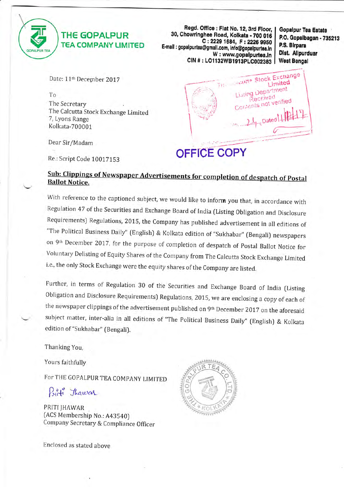

 $\downarrow$ 

### THE GOPALPUR TEA COMPANY LIMITED

Regd. Office : Flat No. 12, 3rd Floor, 30, Chowringhee Road, Kolkata - 700 016<br>C: 2229 1684, F: 2226 9950 E-mail : gopalpurtea@gmail.com, info@gopalpurtea.in W: www.gopalpurtea.in CIN # : LO1132WB1913PLC002383

Gopalpur Tea Estate P.O. Gopalbagan - 735213 RS.'Blrpara Dlst. Allpurduar West Bengal



## **OFFICE COPY**

To

Date: 11<sup>th</sup> December 2017

The Secretary The Calcutta Stock Exchange Limited 7, Lyans Range Kolkata-700001

Dear Sir/Madam

Re.: Script Code 100ITIS3

### Sub: Clippings of Newspaper Advertisements for completion of despatch of Postal **Ballot Notice.**

With reference to the captioned subject, we would like to inform you that, in accordance with Regulation 47 of the Securities and Exchange Board of India (Listing Obligation and Disclosure Requirements) Regulations, 2015, the company has published advertisement in all editions of "The Political Business Daily" (English) & Kolkata edition of "Sukhabar" (Bengali) newspapers on 9th December 2017, for the purpose of completion of despatch of Postal Ballot Notice for voluntary Delisting of Equity shares of the company from The calcutta Stock Exchange Limited i.e., the only Stock Exchange were the equity shares of the Company are listed.

Further, in terms of Regulation 30 of the Securities and Exchange Board of India (Listing 0bligation and Disclosure Requirements) Regulations, 2015, we are enclosing a copy of each of the newspaper clippings of the advertisement published on 9th December 2017 on the aforesaid subject matter, inter-alia in all editions of "The Political Business Daily" (English) & Kolkata edition of "Sukhabar" (Bengali).

Thanking You,

Yours faithfully

FoT THE GOPALPUR TEA COMPANY LIMITED

Priti Thawar

PRITI IHAWAR (ACS Membership No.: A43540) Company Secretary & Compliance Officer  $\mathcal{L}$ !'v:p ,  $\tilde{u}$  $\mathcal{N}$ 

Enclosed as stated above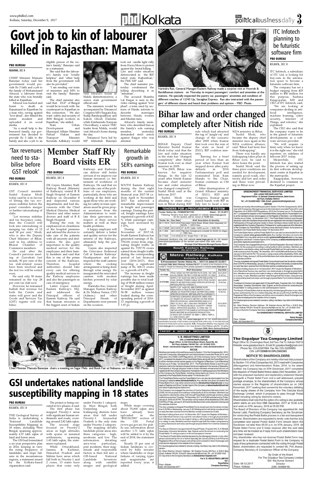# *www.pbdkol.com*<br>Kolkata, Saturday, December 9, 2017<br>**Exploration of the Magnusiness December 9, 2017**

### **PBD BUREAU**

### NABANNA, DEC 8

CHIEF Minister Mamata Banerjee today said her government would provide Rs 3 lakh and a job to the family of Mohammand Afrazul, a labourer from the state who was brutally killed in Rajasthan.

Afrazul was hacked and burnt to death at Rajsamand in Rajasthan by a man who, raving against "love jihad", also filmed the incident and uploaded it on social media.

The chief minister also said that DGP of Bengal would be in touch with his counterpart in Rajasthan in this connection. " We also want safety and security of 3000 Bengali workers in Rajasthan, she added.<br>State U<sub>1</sub> Urban<br>and

"As a small help to the bereaved family, our government has decided to provide Rs 3 lakh to the family and also a job to an

Development Municipal Affairs Minister Firhad Hakim and<br>Transport Minister Transport Suvendu Adhikary would



eligible person of the victim's family," Banerjee said in a statement.

She said that the labourer's family was "totally helpless" and "other help from the government will also be provided."

"I am sending our team of ministers and MPs to visit the family," Banerjee said.

# Govt job to kin of labourer Govt job to kin of labourer killed in Rajasthan: Mamata

### **PBD BUREAU** KOLKATA, DEC 8

01171259

01175149A

visit Afrazul's house in Malda districttomorrow, a senior state government official said.

The ministers would be accompanied by Trinamool Congress MPs Saugata Ray, Sudip Bandyapadhyay and Kakoli Ghosh Dastidar, while Krishnendu Narayan Chowdhury, a senior TMC leader from Malda, would visit Afrazul's home during the day.

> period of less than an year when Kumar had stepped down after party<br>debacle in 2014 debacle in

Trinamool Yuva led by MP Abhishek Banerjee took out candle light rally from Hazra More to protest against the brutal killing. Law and order situation deteriorated in the BJP ruled state Rajhasthan," the TMC MP said.

The chief minister yesterday condemned the killing describing it as "inhuman".

The accused Shambu Lal Raigar is seen in the video ranting against "love jihad", a term used by sections of Hindu activists to marriages between Hindu women and Muslim men.

Afrazul's family members, who described him as the family's sole earning<br>member, yesterday member, yesterday demanded strict action against Raigar who was arrested.



BIHAR Deputy Chief Minister Sushil Kumar Modi today said that the law and order situation in the state has "changed completely" after Nitish Kumar took over as chief minister in 2005.

services if we improve our human resources i.e. bet-KOLKATA, DEC 8

"Pre-2005, Bihar was known for negative things. In the last 12 years after Nitish Kumar became chief minister law and order situation has changed completely", Sushil Modi said at the the tag of "jungle raj" and change of the scenario

istry.

Infocom 2017. Sushil Modi was alluding to crime situa-Grand Alliance ministry of JD(U), RJD and Congress, Kumar again

Parliamentary poll and nominated Jitan Ram Manjhi to the Chair, Kumar continues as CM

of Bihar.

#### after 2005 when Kumar first took over the rein of the state as head of JD(U), BJP coalition min-NDA ministry in Bihar. Sushil Modi, who became the deputy chief minister once again in the NDA coalition alliance, said "Bihar had been free from kidnapping".

After disintegration of

14.00 hrs.

05.01.2018

14.00 hrs.

Barring for a brief There was hardly any kidnapping takes place in Bihar now, he said to drive home the point.

| alluding to crime situa-<br>tion in Bihar during RJD |          | joined hands with BJP in<br>July last to head a new                                                                                                                                                   |                   |
|------------------------------------------------------|----------|-------------------------------------------------------------------------------------------------------------------------------------------------------------------------------------------------------|-------------------|
|                                                      |          | TENDERS FOR e-PROCUREMENT SYSTEM<br>Tender Notice No. PCMM/EPS/17/53                                                                                                                                  | Dated: 07.12.2017 |
|                                                      |          | Following Tenders have been uploaded on website www.ireps.gov.in<br>All the tenders will be closed at 14.00 hrs.                                                                                      |                   |
| Tender No.                                           | Due Date | <b>Brief Description &amp; Quantity</b>                                                                                                                                                               |                   |
| 38.17.1551A                                          |          | 02.01.2018 Fabricated Hand Break Wheel (Side Operated) for<br>$BOXN. = 12013$ Nos.                                                                                                                    |                   |
| 40.17.5062B                                          |          | 04.01.2018 HT XLPE Cable 1x400 sq.mm. = 8000 Mtr.                                                                                                                                                     |                   |
| 38.17.3849                                           |          | 08.01.2018 Flap Door Arrangement Complete for BOXN HL Wagon<br>$= 1980$ Nos.                                                                                                                          |                   |
| 46.17.5038                                           |          | 11.01.2018 25 KV Single Pole = 56 Nos.                                                                                                                                                                |                   |
| PR-1037                                              |          | Interested lenderers may visit website www.ireps.gov.in for full details/<br>description/specification of the tenders and submit their bids online.<br>Principal Chief Materials Manager/Garden Reach |                   |
|                                                      |          | <b>South Eastern Railway</b><br>We serve with a smile                                                                                                                                                 |                   |
|                                                      |          | Metro Railway, Kolkata<br>Kolkata's Pride                                                                                                                                                             |                   |
|                                                      |          | E-Procurement Tender Notice No.: 18/17-18 dated 07.12.2017                                                                                                                                            |                   |
|                                                      |          | Principal CMM, Metro Railway, Kolkata-700.071 on behall of the President of India<br>invites E-Tender for following items already uploaded in website www.ireps.gov.in                                |                   |
| Tender No.                                           |          | <b>Brief Description</b>                                                                                                                                                                              | Due Date          |
|                                                      |          | TRCC SHOE AS PER METRO RLYS DRG. NO. MR/ 04.01.2018                                                                                                                                                   |                   |

## rule which had attracted **Bihar law and order changed completely after Nitish ride**

cuted in two phases, it said. The first phase has mapped Priority-1 areas with significant human settlements and roads, covering around 2.82 lakh sqkm. The second stage

Sushil Modi said the three prior conditions are needed for development, namely good roads, electricity, and law and order and these were prevailing in Bihar now.

### **GREENCREST FINANCIAL SERVICES LIMITED** CIN: L65921WB1993PLC057785 Registered Office : 8, Ganesh Chandra Avenue, Saha Court, 1st Floor, Kolkata-700 013 ist Fioor, Kolkala-700 013<br>Tel : +91 33 2236 5426 / 1366, Email : greencrestfin@gmail.com

**NOTICE** 

## **PBD BUREAU**

### KOLKATA, DEC 8

Railway Board (Ministry of Railways) visited B R Singh Hospital of Eastern Railway on December 8 and inspected various departments and had discussions with the Chief Medical Director, Medical Director and other senior doctors and staff of B R Singh Hospital.

During the visit, he emphasized on cleanliness of the hospital premises and advised the doctors to take care of the patients with all sincerity and dedication. He also gave importance to the quality medical service for the employees and their family members and said that this is one of the prime concern of the Railways.<br>Therefore, hospital Therefore, authorities should take every care for offering

DK Gayen, Member, Staff, terment of workforce of Railways. He said that we must take care of the problems of our employees, particularly, those who are working at the field and

case of emergency.

**PBD BUREAU** KOLKATA, DEC 8

Latter Gayen visited Eastern Railway's HQ. and addressed the Principal officers of Eastern Railway. He said that human resources is the biggest asset of Indian

Railways and Railways can deliver still better

quality medical services to the Railway employees and also the passengers in ultimately help the passengers. Cell at Eastern Railways' Headquarters and also inspected the staff canteen where the cooking arrangement is being done inaugurated the renovated

again those who are working for safety in train operations must be given proper assistance from the Administration to ventilate their grievances in respect of their service matters as well as their health problems. A happy employee will certainly deliver a better and quality service for the interest of the Railways,

> Gayen also inspected the Grievance Redressal

energy.



Harindra Rao, General Manager, Eastern Railway & Dr. Mahua Verma, CPÓ<br>(Admin.) and other and other<br>Heads of Principal Heads of Departments were present on the occasion.

### **PBD BUREAU**

SOUTH Eastern Railway during the first eight months of the current financial year 2017-18 i.e. from April to November 2017 has achieved a remarkable improvement in freight and passenger earnings. During this period, freight earnings have registered a growth of 8.47 % while passenger earnings have increased by 7.37%.

through solar energy. He canteen with modern kitchen powered by solar The increase in freight earnings has been made possible due to total loading of 98.48 million tonnes of freight during April-November 2017 as against 96.58 million tonnes loaded during the corresponding period of 2016- 17, registering a growth of 1.97 pc.

During April to November of 2017-18, South Eastern Railway has generated earnings of Rs. 7763.81 crores from originating freight traffic as against Rs. 7157.70 crores earned from freight traffic during the corresponding period of last financial year (2016-2017), thus recording a significant jump of Rs. 606.11 crores i.e. a growth of 8.47%.

### **PBD BUREAU**

### KOLKATA, DEC 8

THE Geological Survey of India is undertaking a<br>'National Landslide Landslide Susceptibility Mapping' in 18 states, including West Bengal, spanning approximately 4.27 lakh sqkm of land and forest areas.

The GSI had formulated a six-year perspective plan in 2014, keeping in view the rising frequency of landslides and slope failures in the mountainous regions, a statement issued by the Kolkata-based organisation said.

The project is being exe-

focused on Priority-2 areas in high altitudes with sparse or minimal settlements, spanning 1.45 lakh sqkm, the statement explained.

While Uttarakhand, Jammu & Kashmir, Himachal Pradesh and Sikkim have areas which fall both in Priority-1 and 2 zones, 13 states have places that come only

under Priority-1 category. maps.

In West Bengal, both Darjeeling and Kalimpong districts have areas that fall under Priority-1. Arunachal Pradesh is the only state under Priority-2 category. The mapping divides landslide-prone areas into three categories - high, moderate and low. The<br>information detailing information area-wise particulars, said.

past incidents, their magnitude and responsible factors is then fed into a GIS-based National Landslide along with satellite images and geological

While maps covering about 70,000<sup>'</sup> sqkm area<br>have already been have already<br>uploaded in uploaded in the "BHUKOSH" section of the GSI Portal (www.gsi.gov.in) for public use, information about another 1.71 lakh sqkm will be added to it by the end of 2018, the statement

Nearly 15 per cent of Indian landmass is covered by hilly terrains where landslides or slope failures of varying types and magnitudes are reported every year, it added.

|           | MINIS/EUPOILIUR 14/HZZVI7)                                                                                                                                                                                                                                                                                                                                                                                 |                          |
|-----------|------------------------------------------------------------------------------------------------------------------------------------------------------------------------------------------------------------------------------------------------------------------------------------------------------------------------------------------------------------------------------------------------------------|--------------------------|
| 01175150A | SUPPLY OF 1x630 SO. MM COPPER XLPE<br>INSULATED & FRLS OUTER SHEATH 3.3 KV<br>GRADE DC POSITIVE CABLE AS PER ENCLOSED<br>SPECIFICATION NO. MRTS/EL/PSI/TG-(15/R3/2017)                                                                                                                                                                                                                                     | 05.01.2018<br>14.00 hrs. |
| 01175177  | STARTING & BRAKING RESISTOR (SBR) FOR<br>AC RAKES OF KOLKATA METRO AS PER RDSO<br>SPECIFICATION NO. RDSO/PE/SPEC/EMU/0172<br>(REV '0')-2013. NB:1) RAILWAY RESERVE THE<br>RIGHT TO PROCURE BULK QUANTITY FROM<br>ROSO APPROVED SOURCE, 2) FIRM HAS TO<br>OBTAIN PROTOTYPE SAMPLE APPROVED FROM<br>RDSO BEFORE BULK/SERIES PRODUCTION.<br>3) EACH SET CONSIST OF SBR-1, SBR-2, SBR-3,<br>i.e. ONE COACH SET | 05.01.2018<br>14.00 hrs. |

CAL/EL/RS/SK-799 REV 6 VIDE MA DATED 15/1/2007

SUPPLY OF 3Y240 SO MM AL XLPE INSULATED 1

KV(E) GRADE POWER CABLE WITH FRLS OUTER

SHEATH AS PER ENCLOSED SPECIFICATION NO

specification/quantity of the tenders and submit bids online only. In no case man tenders for these items will be accepted. N.B.: Prospective Bidders may regularly vis w.ireps.gov.in to participate in low value tenders of this Railway upto Rs. 10 Lakhs Principal CMM, Metro Railway/Kolkata

FASTER . SAFER . SMOOTHER . CLEANER

#### **V. B. INDUSTRIES LIMITED** CIN: L51909WB1982PLC035222 Read, Office: 9, Old China Bazar Street, Room No. 85. Sth Floor, Kolkata -700 001 Tel : +91 33 2242 7270; Email: vbindustries1@gmail.com; Website: www.vbindustriesItd.ir **NOTICE**

Members are hereby informed that pursuant to Section 110 of the Companies Act, 2013 read with Companies (Management and Administration) amended Rules 2014, and<br>Regulation 44 of SEBI LODR Regulations, 2015, the Company has on 7th Decembe 2017, completed the dispatch of the Postal Ballot Notice along with the Postal Ballot Forn to all the members whose names appear on the Register of Members / List of Beneficia Owners as on Friday, 1st December, 2017. The Postal Ballot Notice is sent throug electronic mail to the members whose email Ids are registered in the records of Depositor Participants or through physical mode to those members whose email Ids are no registered with the Company/Depository Participants for seeking approval of the Members of the Company by Postal Ballot, including voting electronic means, for business as specified in the Postal Ballot Notice dated 11th November 2017.

The Postal Ballot Notice and the Postal Ballot Form can also be downloaded from the Company's website www.vbindustriesitd.in. Any member who does not receive the Postal Ballot Form may either send an email to **vbindustries1@gmail.com** or ma apply to Registrar and Share Transfer Agent of the Company at absconsultant@vsnl.ne and obtain duplicate postal ballot form.

The Company has engaged the services of Central Depository Services (India) Ltd (CDSL) for the purpose of providing e-voting facility to all its members. Members are requested to note that the voting, both through Postal Ballot and through remote e-voting shall commence from Thursday, 7th December, 2017 at 9.00 AM and shall end on Friday January 5, 2018 at 5.00 PM. The remote e-voting module will be disabled by CDSL afte 5.00 PM on Friday, January 5, 2018 and the Members shall not be allowed to vote beyon the said date and time.

The duly completed and signed Postal Ballot Forms should reach the Scrutinizer not late than 5.00 PM on Wednesday, January 3, 2018 failing which it will strictly considered than or reply has been received from the Member and be considered as invalid.

Members holding shares as on 1st December, 2017 as per the Register of Members List of Beneficial Owners may cast their vote electronically or through physical ballo lorm. Members can opt only one mode of voting i.e. either by physical Postal Ballot Forn or e-voting. In case, Members cast their votes through both the modes, voting done b e-voting shall prevail and votes cast through physical Ballot Form shall be treated a nvalid.

The Board of Directors has appointed CS GayatriPhatak, Proprietor M/s. G. S. Bhidea ssociates, Company Secretaries, Vapi. Gujarat, as the Scrutinizer for conducting the Postal Ballot / E-voting process in a fair and transparent manner

The Result of Postal Ballot shall be declared by the Managing Director or any othe erson authorized by him on or before Saturday, 6th January 2018 by 5.00 PM as the Registered Office of the Company and will be communicated to Stock Exchanges and shall also be displayed at the website of the Company

For Queries/grievances related to remote e-voting, members may refer to the followin

Mr. Uttam Sharma, Director; Address - 99, Stephen House, 6th Floor, 4, B.B.D. Bag (East), Kolkata-700 001, Email ID:absconsultant@vsnl.net; Tel: +91 33 2220 1043 Or may write to the Company Secretary at vbindustries1@gmail.com

| For V. B. INDUSTRIES LIMITED |
|------------------------------|
| Sd                           |
| Payal Bafna                  |
| <b>Company Secretary</b>     |
|                              |

Associates, Company Secretaries, Vapi, Gujarat, as the Scrutinizer for conducting th Postal Ballot / E-voting process in a fair and transparent manner

The Result of Postal Ballot shall be declared by the Managing Director or any othe rson authorized by him on or before Saturday, 6th January 2018 by 5.00 PM as the Registered Office of the Company and will be communicated to Stock Exchanges and shall also be displayed at the website of the Company

For Queries/grievances related to remote e-voting, members may refer to the followir

Mr. Uttam Sharma, Director; Address - 99, Stephen House, 6th Floor, 4, B.B.D. Bag (East), Kolkata-700 001, Email ID: absconsultant@vsnl.net; Tel: +91 33 2220 1043 Or may write to the Company Secretary at greencrestfin@gmail.com

For GREENCREST FINANCIAL SERVICES LIMITED

Rahul Rungta Company Secretary

Date: 8th December 2017

Place : Kolkata

Date: 0

Place:



Regd. Office: 30, Chowringhee Road, 3rd Floor, Flat 12, Kolkata-700016 Website: www.gopalpurtea.in, Email ID: gopalpurtea@gmail.com Phone No. 033-22291684, Fax No. 033-22269950 CIN: L01132WB1913PLC002383

### **NOTICE TO SHAREHOLDERS**

Shareholders of the Company are hereby informed that pursuan to Section 110 of the Companies Act. 2013 read with Companies (Management and Administration) Rules, 2014, to the extent notified, the Company has on 07th December, 2017 completed the dispatch of Postal Ballot Notice dated 23rd November, 2017 with the proposed resolution and explanatory statement thereto alongwith a Postal Ballot Form and a self addressed, prepaid postage envelope, to the shareholders of the Company whose names appear in the Register of shareholders as on 24th November, 2017 seeking their consent to the voluntary delisting of the equity shares of the Company from The Calcutta Stock Exchange Limited, which it proposes to pass through Posta Ballot including voting by electronic means.

Shareholders shall note that the option of e-voting is also available which starts on and from 09th December, 2017 at 10.00 A.M and ends on 07th January, 2018 at 05.00 P.M.

The Board of Directors of the Company has appointed Mr. Asil Kumar Labh, Practicing Company Secretary, as the Scrutinize for conducting the Postal Ballot process in a fair and transparent manner. Shareholders are requested to kindly note that the duly completed and signed Postal Ballot Form should reach the Scrutinizer not later than 05.00 p.m. on 07th January, 2018. All Postal Ballot Forms and E-Votes received after the said date and time will be treated as if reply from such shareholders have not been received.

Any shareholder who has not received Postal Ballot Form may request for a duplicate Postal Ballot Form to the Company. In case of any grievances connected with the voting through Postal Ballot, shareholders are requested to contact Ms. Priti Jhawar Company Secretary & Compliance Officer of the Company.

|           | By Order of the Board                |
|-----------|--------------------------------------|
|           | For The Gopalpur Tea Company Limited |
|           | Sd/- Raj Kumar Somani                |
| 8.12.2017 | Director                             |
| Kolkata   | (DIN: 00466419)                      |

## GSI undertakes national landslide susceptibility mapping in 18 states

Harindra Rao, General Manager/Eastern Railway made a surprise visit at Howrah & Barddhaman stations on Thursday to inspect passengers' comfort and amenities at the stations. He specially inspected the pantry car, passengers' amenities and condition of different coaches of 12345 Up, Saraighat Express. Rao also interacted with the passengers' of different classes and heard their problems and opinion – PBD Photo

Chief Minister Mamata Banerjee chairs a meeting on Sagar Mela and Book Fair at Nabanna on Friday. PBD Photo

ITC Infotech, a subsidiary of ITC Ltd, is looking for buy-outs in the automation space to become a futuristic software firm. The company has set a budget ranging from \$25 million to \$50 million for this purpose, Sushma Rajagopalan, MD and CEO of ITC Infotech, said. "We are looking at companies dealing in artificial intelligence, machine learning, cyber security, Internet of Things, and robotics," she

explained.

The CEO also said that the company wants to be in the gamut of futuristic developments as a software services provider. "We will acquire (a firm) only when we know it is the right one," she told reporters on sidelines of Infocom 2017 today. Meanwhile, **ITC** Infotech has also started the process of setting up its first software development centre at Rajarhat in

the metropolis.

Rajagopalan, however, declined to comment on the Rajarhat project.

Members are hereby informed that pursuant to Section 110 of the Companies Act, 2013 read with Companies (Management and Administration) amended Rules 2014, and<br>Regulation 44 of SEBI LODR Regulations, 2015, the Company has on 7th Decembe 2017, completed the dispatch of the Postal Ballot Notice along with the Postal Ballot Form<br>to all the members whose names appear on the Register of Members / List of Beneficia Owners as on Friday, 1st December, 2017. The Postal Ballot Notice is sent through electronic mail to the members whose email Ids are registered in the records of Depository Participants or through physical mode to those members whose email lds are n ranticipals or introduced minimization in the company/Depository Participants for seeking approval of the Members<br>of the Company by Postal Ballot, including voting electronic means, for business as<br>specified in the Postal

The Postal Ballot Notice and the Postal Ballot Form can also be downloaded from th Company's website www.greencrestfin.com. Any member who does not receive the Postal Ballot Form may either send an email to greencrestfin@gmail.com or may applied to Registrar and Share Transfer Agent of the Company at absconsultant@vsnl.ne and obtain duplicate postal ballot form.

The Company has engaged the services of Central Depository Services (India) Ltd (CDSL) for the purpose of providing e-voting facility to all its members. Members are requested to note that the voting, both through Postal Ballot and through remote e-voting<br>shall commence from Thursday, 7th December, 2017 at 9.00 AM and shall end on Friday, January 5, 2018 at 5.00 PM. The remote e-voting module will be disabled by CDSL after<br>5.00 PM on Friday, January 5, 2018 and the Members shall not be allowed to vote beyon the said date and time.

The duly completed and signed Postal Ballot Forms should reach the Scrutinizer not late than 5.00 PM on Wednesday, January 3, 2018 failing which it will strictly considered than 5.00 PM on Wednesday, January 3, 2018 failing which it will strictly considered than to reply has been received from the Member and

Members holding shares as on 1st December, 2017 as per the Register of Members List of Beneficial Owners may cast their vote electronically or through physical ballo<br>form. Members can opt only one mode of voting i.e. either by physical Postal Ballot Form or e-voting. In case, Members cast their votes through both the modes, voting done b e-voting shall prevail and votes cast through physical Ballot Form shall be treated as invalid.

he Boa

ITC Infotech

planning to

be futuristic

software firm

**Member Staff Rly**

**Board visits ER**

### Remarkable growth in SER's earnings

### **PBD BUREAU**

KOLKATA, DEC 8

GST Council member Sushil Kumar Modi today said he is in favour of letting the tax revenues stabilise before the panel considers merger or further rationalising of slabs.

"Let revenue stabilise and tax buoyancy come, then the Council will look into rationalising or merging tax slabs of 12 and 18 per cent," Modi, who is also the Deputy Chief Minister of Bihar, said in his address to Bharat Chamber of Commerce members.

He said after the Council's previous meeting at Guwahati last month, 90 per cent of the tax slab-related issues have been resolved and the rest too will be sorted soon.

He said only 50 items remained in the top 28 per cent tax slab now.

However, he remained bullish that revenue for both the Centre and states will grow and the Goods and Services Tax (GST) regime will stabilise.

## 'Tax revenues need to stabilise before GST relook'